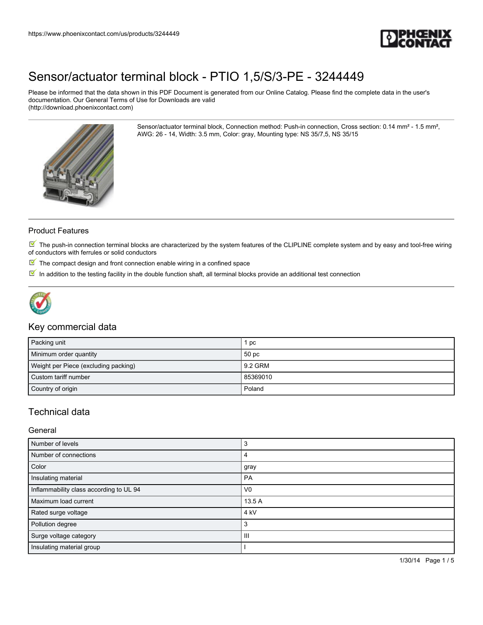

Please be informed that the data shown in this PDF Document is generated from our Online Catalog. Please find the complete data in the user's documentation. Our General Terms of Use for Downloads are valid (http://download.phoenixcontact.com)

> Sensor/actuator terminal block, Connection method: Push-in connection, Cross section: 0.14 mm² - 1.5 mm², AWG: 26 - 14, Width: 3.5 mm, Color: gray, Mounting type: NS 35/7,5, NS 35/15



### Product Features

 $\mathbb N$  The push-in connection terminal blocks are characterized by the system features of the CLIPLINE complete system and by easy and tool-free wiring of conductors with ferrules or solid conductors

- $\mathbb F$  The compact design and front connection enable wiring in a confined space
- $\overline{\mathbb{M}}$  In addition to the testing facility in the double function shaft, all terminal blocks provide an additional test connection



### Key commercial data

| Packing unit                         | рc       |
|--------------------------------------|----------|
| Minimum order quantity               | 50 pc    |
| Weight per Piece (excluding packing) | 9.2 GRM  |
| Custom tariff number                 | 85369010 |
| Country of origin                    | Poland   |

## Technical data

### General

| Number of levels                        | -1              |
|-----------------------------------------|-----------------|
| Number of connections                   |                 |
| Color                                   | gray            |
| Insulating material                     | <b>PA</b>       |
| Inflammability class according to UL 94 | V <sub>0</sub>  |
| Maximum load current                    | 13.5 A          |
| Rated surge voltage                     | 4 <sub>kV</sub> |
| Pollution degree                        |                 |
| Surge voltage category                  | Ш               |
| Insulating material group               |                 |

1/30/14 Page 1 / 5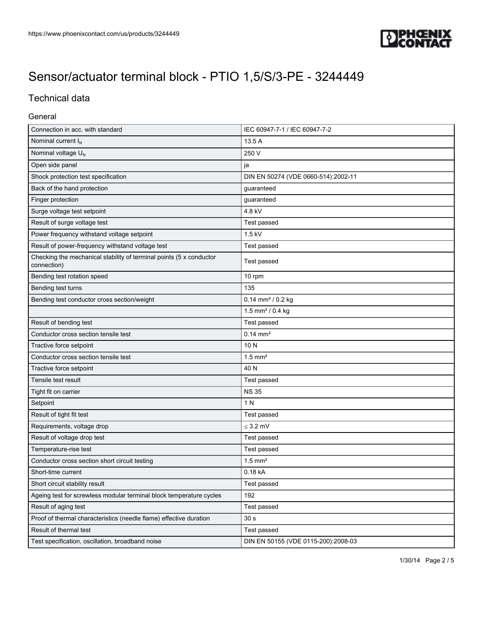

## Technical data

### General

| Connection in acc. with standard                                                   | IEC 60947-7-1 / IEC 60947-7-2       |
|------------------------------------------------------------------------------------|-------------------------------------|
| Nominal current I <sub>N</sub>                                                     | 13.5 A                              |
| Nominal voltage U <sub>N</sub>                                                     | 250 V                               |
| Open side panel                                                                    | ja                                  |
| Shock protection test specification                                                | DIN EN 50274 (VDE 0660-514):2002-11 |
| Back of the hand protection                                                        | guaranteed                          |
| Finger protection                                                                  | guaranteed                          |
| Surge voltage test setpoint                                                        | 4.8 kV                              |
| Result of surge voltage test                                                       | Test passed                         |
| Power frequency withstand voltage setpoint                                         | $1.5$ kV                            |
| Result of power-frequency withstand voltage test                                   | Test passed                         |
| Checking the mechanical stability of terminal points (5 x conductor<br>connection) | Test passed                         |
| Bending test rotation speed                                                        | 10 rpm                              |
| Bending test turns                                                                 | 135                                 |
| Bending test conductor cross section/weight                                        | $0.14$ mm <sup>2</sup> / $0.2$ kg   |
|                                                                                    | 1.5 mm <sup>2</sup> / 0.4 kg        |
| Result of bending test                                                             | Test passed                         |
| Conductor cross section tensile test                                               | $0.14 \, \text{mm}^2$               |
| Tractive force setpoint                                                            | 10N                                 |
| Conductor cross section tensile test                                               | $1.5$ mm <sup>2</sup>               |
| Tractive force setpoint                                                            | 40 N                                |
| Tensile test result                                                                | Test passed                         |
| Tight fit on carrier                                                               | <b>NS 35</b>                        |
| Setpoint                                                                           | 1 N                                 |
| Result of tight fit test                                                           | Test passed                         |
| Requirements, voltage drop                                                         | $\leq$ 3.2 mV                       |
| Result of voltage drop test                                                        | Test passed                         |
| Temperature-rise test                                                              | Test passed                         |
| Conductor cross section short circuit testing                                      | $1.5$ mm <sup>2</sup>               |
| Short-time current                                                                 | 0.18 kA                             |
| Short circuit stability result                                                     | Test passed                         |
| Ageing test for screwless modular terminal block temperature cycles                | 192                                 |
| Result of aging test                                                               | Test passed                         |
| Proof of thermal characteristics (needle flame) effective duration                 | 30 <sub>s</sub>                     |
| Result of thermal test                                                             | Test passed                         |
| Test specification, oscillation, broadband noise                                   | DIN EN 50155 (VDE 0115-200):2008-03 |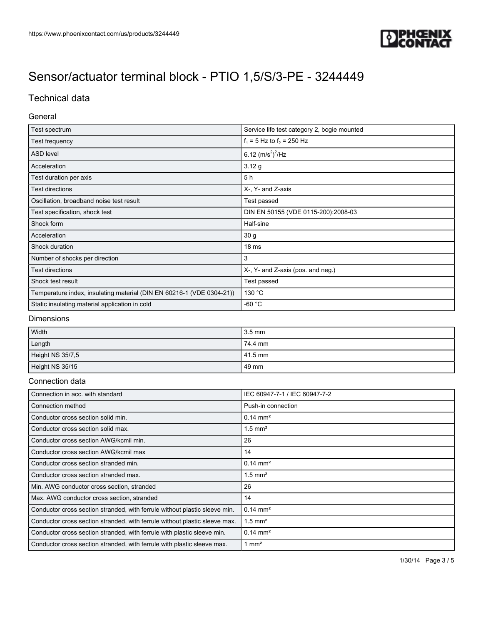

## Technical data

### General

| Test spectrum                                                         | Service life test category 2, bogie mounted |
|-----------------------------------------------------------------------|---------------------------------------------|
| Test frequency                                                        | $f_1 = 5$ Hz to $f_2 = 250$ Hz              |
| <b>ASD level</b>                                                      | 6.12 $(m/s^2)^2$ /Hz                        |
| Acceleration                                                          | 3.12 g                                      |
| Test duration per axis                                                | 5 h                                         |
| Test directions                                                       | X-, Y- and Z-axis                           |
| Oscillation, broadband noise test result                              | Test passed                                 |
| Test specification, shock test                                        | DIN EN 50155 (VDE 0115-200):2008-03         |
| Shock form                                                            | Half-sine                                   |
| Acceleration                                                          | 30 g                                        |
| Shock duration                                                        | 18 <sub>ms</sub>                            |
| Number of shocks per direction                                        | 3                                           |
| Test directions                                                       | X-, Y- and Z-axis (pos. and neg.)           |
| Shock test result                                                     | Test passed                                 |
| Temperature index, insulating material (DIN EN 60216-1 (VDE 0304-21)) | 130 °C                                      |
| Static insulating material application in cold                        | $-60 °C$                                    |

#### Dimensions

| Width            | $13.5 \text{ mm}$  |
|------------------|--------------------|
| Length           | $174.4 \text{ mm}$ |
| Height NS 35/7,5 | $141.5$ mm         |
| Height NS 35/15  | l 49 mm            |

#### Connection data

| Connection in acc. with standard                                           | IEC 60947-7-1 / IEC 60947-7-2 |
|----------------------------------------------------------------------------|-------------------------------|
| Connection method                                                          | Push-in connection            |
| Conductor cross section solid min.                                         | $0.14 \text{ mm}^2$           |
| Conductor cross section solid max.                                         | $1.5$ mm <sup>2</sup>         |
| Conductor cross section AWG/kcmil min.                                     | 26                            |
| Conductor cross section AWG/kcmil max                                      | 14                            |
| Conductor cross section stranded min.                                      | $0.14 \text{ mm}^2$           |
| Conductor cross section stranded max.                                      | $1.5$ mm <sup>2</sup>         |
| Min. AWG conductor cross section, stranded                                 | 26                            |
| Max. AWG conductor cross section, stranded                                 | 14                            |
| Conductor cross section stranded, with ferrule without plastic sleeve min. | $0.14 \text{ mm}^2$           |
| Conductor cross section stranded, with ferrule without plastic sleeve max. | $1.5$ mm <sup>2</sup>         |
| Conductor cross section stranded, with ferrule with plastic sleeve min.    | $0.14 \text{ mm}^2$           |
| Conductor cross section stranded, with ferrule with plastic sleeve max.    | 1 mm <sup>2</sup>             |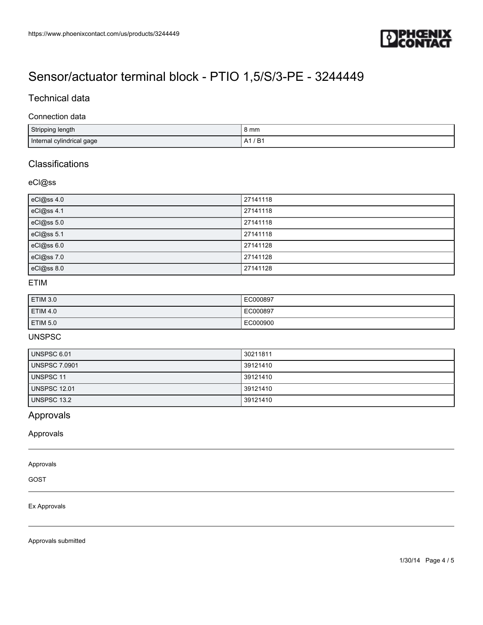

## Technical data

#### Connection data

| Stripping length          | 8 mm                           |
|---------------------------|--------------------------------|
| Internal cylindrical gage | ּ ה<br>Δ″<br>D<br>$\mathsf{A}$ |

## **Classifications**

### eCl@ss

| eCl@ss 4.0 | 27141118 |
|------------|----------|
| eCl@ss 4.1 | 27141118 |
| eCl@ss 5.0 | 27141118 |
| eCl@ss 5.1 | 27141118 |
| eCl@ss 6.0 | 27141128 |
| eCl@ss 7.0 | 27141128 |
| eCl@ss 8.0 | 27141128 |

## ETIM

| ETIM 3.0        | EC000897 |
|-----------------|----------|
| <b>ETIM 4.0</b> | EC000897 |
| ETIM 5.0        | EC000900 |

## UNSPSC

| UNSPSC 6.01          | 30211811 |
|----------------------|----------|
| <b>UNSPSC 7.0901</b> | 39121410 |
| UNSPSC 11            | 39121410 |
| <b>UNSPSC 12.01</b>  | 39121410 |
| UNSPSC 13.2          | 39121410 |

## Approvals

Approvals

#### Approvals

GOST

#### Ex Approvals

Approvals submitted